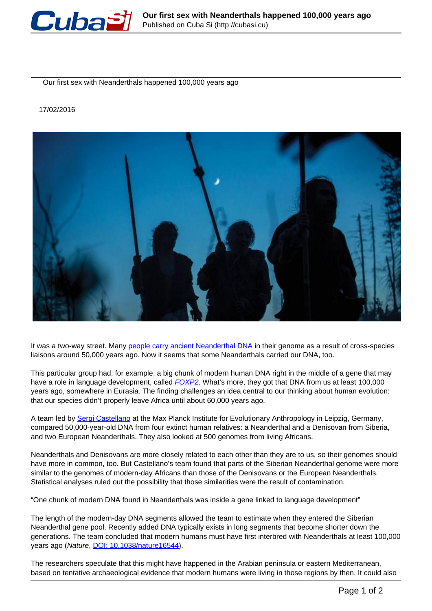

Our first sex with Neanderthals happened 100,000 years ago

## 17/02/2016



It was a two-way street. Many [people carry ancient Neanderthal DNA](https://www.newscientist.com/article/dn18869-neanderthal-genome-reveals-interbreeding-with-humans) in their genome as a result of cross-species liaisons around 50,000 years ago. Now it seems that some Neanderthals carried our DNA, too.

This particular group had, for example, a big chunk of modern human DNA right in the middle of a gene that may have a role in language development, called **FOXP2**. What's more, they got that DNA from us at least 100,000 years ago, somewhere in Eurasia. The finding challenges an idea central to our thinking about human evolution: that our species didn't properly leave Africa until about 60,000 years ago.

A team led by Sergi Castellano at the Max Planck Institute for Evolutionary Anthropology in Leipzig, Germany, compared 50,000-year-old DNA from four extinct human relatives: a Neanderthal and a Denisovan from Siberia, and two European Neanderthals. They also looked at 500 genomes from living Africans.

Neanderthals and Denisovans are more closely related to each other than they are to us, so their genomes should have more in common, too. But Castellano's team found that parts of the Siberian Neanderthal genome were more similar to the genomes of modern-day Africans than those of the Denisovans or the European Neanderthals. Statistical analyses ruled out the possibility that those similarities were the result of contamination.

"One chunk of modern DNA found in Neanderthals was inside a gene linked to language development"

The length of the modern-day DNA segments allowed the team to estimate when they entered the Siberian Neanderthal gene pool. Recently added DNA typically exists in long segments that become shorter down the generations. The team concluded that modern humans must have first interbred with Neanderthals at least 100,000 years ago (Nature, DOI: 10.1038/nature16544).

The researchers speculate that this might have happened in the Arabian peninsula or eastern Mediterranean, based on tentative archaeological evidence that modern humans were living in those regions by then. It could also